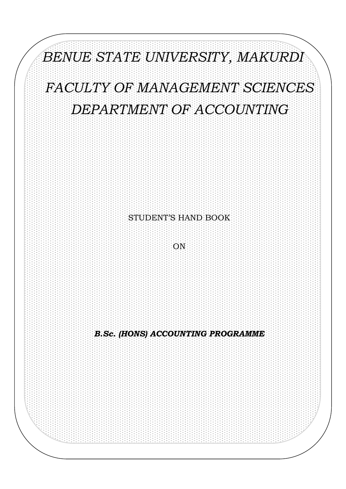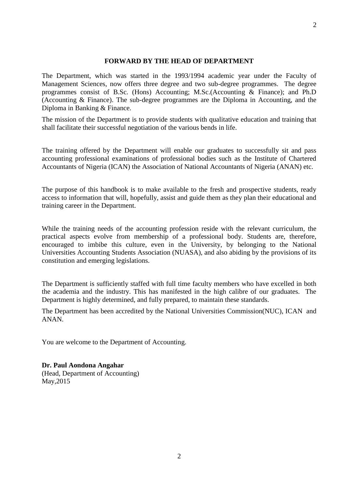#### **FORWARD BY THE HEAD OF DEPARTMENT**

The Department, which was started in the 1993/1994 academic year under the Faculty of Management Sciences, now offers three degree and two sub-degree programmes. The degree programmes consist of B.Sc. (Hons) Accounting; M.Sc.(Accounting & Finance); and Ph.D (Accounting & Finance). The sub-degree programmes are the Diploma in Accounting, and the Diploma in Banking & Finance.

The mission of the Department is to provide students with qualitative education and training that shall facilitate their successful negotiation of the various bends in life.

The training offered by the Department will enable our graduates to successfully sit and pass accounting professional examinations of professional bodies such as the Institute of Chartered Accountants of Nigeria (ICAN) the Association of National Accountants of Nigeria (ANAN) etc.

The purpose of this handbook is to make available to the fresh and prospective students, ready access to information that will, hopefully, assist and guide them as they plan their educational and training career in the Department.

While the training needs of the accounting profession reside with the relevant curriculum, the practical aspects evolve from membership of a professional body. Students are, therefore, encouraged to imbibe this culture, even in the University, by belonging to the National Universities Accounting Students Association (NUASA), and also abiding by the provisions of its constitution and emerging legislations.

The Department is sufficiently staffed with full time faculty members who have excelled in both the academia and the industry. This has manifested in the high calibre of our graduates. The Department is highly determined, and fully prepared, to maintain these standards.

The Department has been accredited by the National Universities Commission(NUC), ICAN and ANAN.

You are welcome to the Department of Accounting.

#### **Dr. Paul Aondona Angahar**

(Head, Department of Accounting) May,2015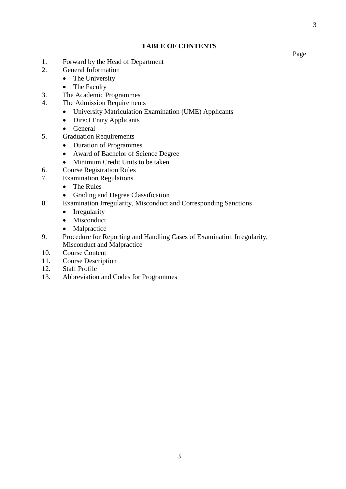#### **TABLE OF CONTENTS**

- 1. Forward by the Head of Department
- 2. General Information
	- The University
		- The Faculty
- 3. The Academic Programmes
- 4. The Admission Requirements
	- University Matriculation Examination (UME) Applicants
	- Direct Entry Applicants
	- General
- 5. Graduation Requirements
	- Duration of Programmes
	- Award of Bachelor of Science Degree
	- Minimum Credit Units to be taken
- 6. Course Registration Rules
- 7. Examination Regulations
	- The Rules
	- Grading and Degree Classification
- 8. Examination Irregularity, Misconduct and Corresponding Sanctions
	- Irregularity
	- Misconduct
	- Malpractice
- 9. Procedure for Reporting and Handling Cases of Examination Irregularity, Misconduct and Malpractice
- 10. Course Content
- 11. Course Description
- 12. Staff Profile
- 13. Abbreviation and Codes for Programmes

Page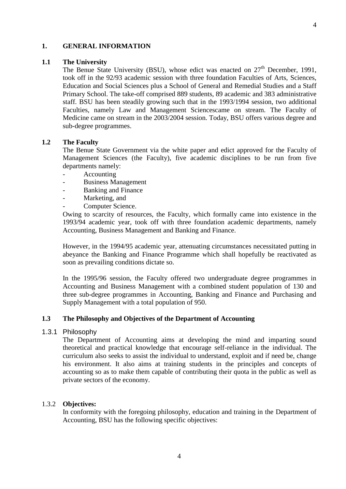#### **1. GENERAL INFORMATION**

#### **1.1 The University**

The Benue State University (BSU), whose edict was enacted on  $27<sup>th</sup>$  December, 1991, took off in the 92/93 academic session with three foundation Faculties of Arts, Sciences, Education and Social Sciences plus a School of General and Remedial Studies and a Staff Primary School. The take-off comprised 889 students, 89 academic and 383 administrative staff. BSU has been steadily growing such that in the 1993/1994 session, two additional Faculties, namely Law and Management Sciencescame on stream. The Faculty of Medicine came on stream in the 2003/2004 session. Today, BSU offers various degree and sub-degree programmes.

#### **1.2 The Faculty**

The Benue State Government via the white paper and edict approved for the Faculty of Management Sciences (the Faculty), five academic disciplines to be run from five departments namely:

- Accounting
- Business Management
- Banking and Finance
- Marketing, and
- Computer Science.

Owing to scarcity of resources, the Faculty, which formally came into existence in the 1993/94 academic year, took off with three foundation academic departments, namely Accounting, Business Management and Banking and Finance.

However, in the 1994/95 academic year, attenuating circumstances necessitated putting in abeyance the Banking and Finance Programme which shall hopefully be reactivated as soon as prevailing conditions dictate so.

In the 1995/96 session, the Faculty offered two undergraduate degree programmes in Accounting and Business Management with a combined student population of 130 and three sub-degree programmes in Accounting, Banking and Finance and Purchasing and Supply Management with a total population of 950.

#### **1.3 The Philosophy and Objectives of the Department of Accounting**

### 1.3.1 Philosophy

The Department of Accounting aims at developing the mind and imparting sound theoretical and practical knowledge that encourage self-reliance in the individual. The curriculum also seeks to assist the individual to understand, exploit and if need be, change his environment. It also aims at training students in the principles and concepts of accounting so as to make them capable of contributing their quota in the public as well as private sectors of the economy.

#### 1.3.2 **Objectives:**

In conformity with the foregoing philosophy, education and training in the Department of Accounting, BSU has the following specific objectives: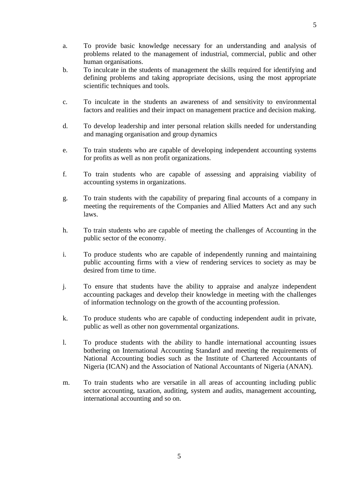- a. To provide basic knowledge necessary for an understanding and analysis of problems related to the management of industrial, commercial, public and other human organisations.
- b. To inculcate in the students of management the skills required for identifying and defining problems and taking appropriate decisions, using the most appropriate scientific techniques and tools.
- c. To inculcate in the students an awareness of and sensitivity to environmental factors and realities and their impact on management practice and decision making.
- d. To develop leadership and inter personal relation skills needed for understanding and managing organisation and group dynamics
- e. To train students who are capable of developing independent accounting systems for profits as well as non profit organizations.
- f. To train students who are capable of assessing and appraising viability of accounting systems in organizations.
- g. To train students with the capability of preparing final accounts of a company in meeting the requirements of the Companies and Allied Matters Act and any such laws.
- h. To train students who are capable of meeting the challenges of Accounting in the public sector of the economy.
- i. To produce students who are capable of independently running and maintaining public accounting firms with a view of rendering services to society as may be desired from time to time.
- j. To ensure that students have the ability to appraise and analyze independent accounting packages and develop their knowledge in meeting with the challenges of information technology on the growth of the accounting profession.
- k. To produce students who are capable of conducting independent audit in private, public as well as other non governmental organizations.
- l. To produce students with the ability to handle international accounting issues bothering on International Accounting Standard and meeting the requirements of National Accounting bodies such as the Institute of Chartered Accountants of Nigeria (ICAN) and the Association of National Accountants of Nigeria (ANAN).
- m. To train students who are versatile in all areas of accounting including public sector accounting, taxation, auditing, system and audits, management accounting, international accounting and so on.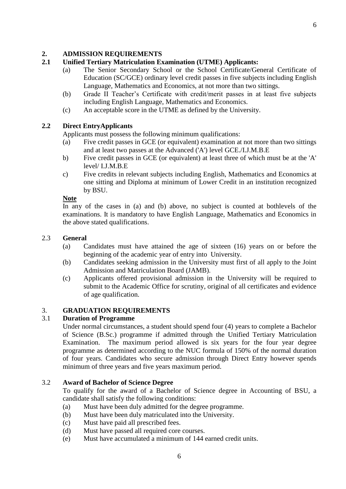### **2. ADMISSION REQUIREMENTS**

## **2.1 Unified Tertiary Matriculation Examination (UTME) Applicants:**

- (a) The Senior Secondary School or the School Certificate/General Certificate of Education (SC/GCE) ordinary level credit passes in five subjects including English Language, Mathematics and Economics, at not more than two sittings.
- (b) Grade II Teacher's Certificate with credit/merit passes in at least five subjects including English Language, Mathematics and Economics.
- (c) An acceptable score in the UTME as defined by the University.

### **2.2 Direct EntryApplicants**

Applicants must possess the following minimum qualifications:

- (a) Five credit passes in GCE (or equivalent) examination at not more than two sittings and at least two passes at the Advanced ('A') level GCE./I.J.M.B.E
- b) Five credit passes in GCE (or equivalent) at least three of which must be at the 'A' level/ I.J.M.B.E
- c) Five credits in relevant subjects including English, Mathematics and Economics at one sitting and Diploma at minimum of Lower Credit in an institution recognized by BSU.

#### **Note**

In any of the cases in (a) and (b) above, no subject is counted at bothlevels of the examinations. It is mandatory to have English Language, Mathematics and Economics in the above stated qualifications.

### 2.3 **General**

- (a) Candidates must have attained the age of sixteen (16) years on or before the beginning of the academic year of entry into University.
- (b) Candidates seeking admission in the University must first of all apply to the Joint Admission and Matriculation Board (JAMB).
- (c) Applicants offered provisional admission in the University will be required to submit to the Academic Office for scrutiny, original of all certificates and evidence of age qualification.

### 3. **GRADUATION REQUIREMENTS**

#### 3.1 **Duration of Programme**

Under normal circumstances, a student should spend four (4) years to complete a Bachelor of Science (B.Sc.) programme if admitted through the Unified Tertiary Matriculation Examination. The maximum period allowed is six years for the four year degree programme as determined according to the NUC formula of 150% of the normal duration of four years. Candidates who secure admission through Direct Entry however spends minimum of three years and five years maximum period.

#### 3.2 **Award of Bachelor of Science Degree**

To qualify for the award of a Bachelor of Science degree in Accounting of BSU, a candidate shall satisfy the following conditions:

- (a) Must have been duly admitted for the degree programme.
- (b) Must have been duly matriculated into the University.
- (c) Must have paid all prescribed fees.
- (d) Must have passed all required core courses.
- (e) Must have accumulated a minimum of 144 earned credit units.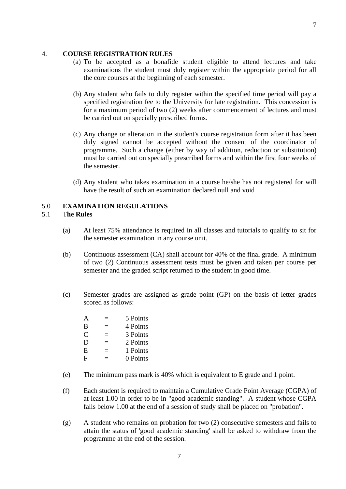#### 4. **COURSE REGISTRATION RULES**

- (a) To be accepted as a bonafide student eligible to attend lectures and take examinations the student must duly register within the appropriate period for all the core courses at the beginning of each semester.
- (b) Any student who fails to duly register within the specified time period will pay a specified registration fee to the University for late registration. This concession is for a maximum period of two (2) weeks after commencement of lectures and must be carried out on specially prescribed forms.
- (c) Any change or alteration in the student's course registration form after it has been duly signed cannot be accepted without the consent of the coordinator of programme. Such a change (either by way of addition, reduction or substitution) must be carried out on specially prescribed forms and within the first four weeks of the semester.
- (d) Any student who takes examination in a course he/she has not registered for will have the result of such an examination declared null and void

## 5.0 **EXAMINATION REGULATIONS**

#### 5.1 T**he Rules**

- (a) At least 75% attendance is required in all classes and tutorials to qualify to sit for the semester examination in any course unit.
- (b) Continuous assessment (CA) shall account for 40% of the final grade. A minimum of two (2) Continuous assessment tests must be given and taken per course per semester and the graded script returned to the student in good time.
- (c) Semester grades are assigned as grade point (GP) on the basis of letter grades scored as follows:

| A | 5 Points |
|---|----------|
| B | 4 Points |
| C | 3 Points |
| D | 2 Points |
| E | 1 Points |
| F | 0 Points |
|   |          |

- (e) The minimum pass mark is 40% which is equivalent to E grade and 1 point.
- (f) Each student is required to maintain a Cumulative Grade Point Average (CGPA) of at least 1.00 in order to be in "good academic standing". A student whose CGPA falls below 1.00 at the end of a session of study shall be placed on "probation".
- (g) A student who remains on probation for two (2) consecutive semesters and fails to attain the status of 'good academic standing' shall be asked to withdraw from the programme at the end of the session.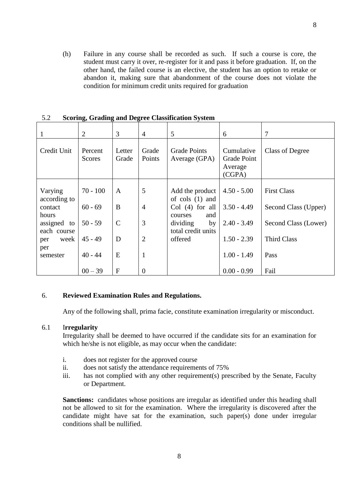(h) Failure in any course shall be recorded as such. If such a course is core, the student must carry it over, re-register for it and pass it before graduation. If, on the other hand, the failed course is an elective, the student has an option to retake or abandon it, making sure that abandonment of the course does not violate the condition for minimum credit units required for graduation

| 1                          | $\overline{2}$    | 3               | $\overline{4}$  | 5                                    | 6                                              | $\tau$               |
|----------------------------|-------------------|-----------------|-----------------|--------------------------------------|------------------------------------------------|----------------------|
| Credit Unit                | Percent<br>Scores | Letter<br>Grade | Grade<br>Points | <b>Grade Points</b><br>Average (GPA) | Cumulative<br>Grade Point<br>Average<br>(CGPA) | Class of Degree      |
| Varying<br>according to    | $70 - 100$        | A               | 5               | Add the product<br>of $\cosh(1)$ and | $4.50 - 5.00$                                  | <b>First Class</b>   |
| contact<br>hours           | $60 - 69$         | B               | $\overline{4}$  | $Col(4)$ for all<br>and<br>courses   | $3.50 - 4.49$                                  | Second Class (Upper) |
| assigned to<br>each course | $50 - 59$         | $\mathbf C$     | 3               | dividing<br>by<br>total credit units | $2.40 - 3.49$                                  | Second Class (Lower) |
| week<br>per<br>per         | $45 - 49$         | D               | $\overline{2}$  | offered                              | $1.50 - 2.39$                                  | <b>Third Class</b>   |
| semester                   | $40 - 44$         | E               | 1               |                                      | $1.00 - 1.49$                                  | Pass                 |
|                            | $00 - 39$         | $\mathbf{F}$    | $\Omega$        |                                      | $0.00 - 0.99$                                  | Fail                 |

5.2 **Scoring, Grading and Degree Classification System**

#### 6. **Reviewed Examination Rules and Regulations.**

Any of the following shall, prima facie, constitute examination irregularity or misconduct.

#### 6.1 I**rregularity**

Irregularity shall be deemed to have occurred if the candidate sits for an examination for which he/she is not eligible, as may occur when the candidate:

- i. does not register for the approved course
- ii. does not satisfy the attendance requirements of 75%
- iii. has not complied with any other requirement(s) prescribed by the Senate, Faculty or Department.

**Sanctions:** candidates whose positions are irregular as identified under this heading shall not be allowed to sit for the examination. Where the irregularity is discovered after the candidate might have sat for the examination, such paper(s) done under irregular conditions shall be nullified.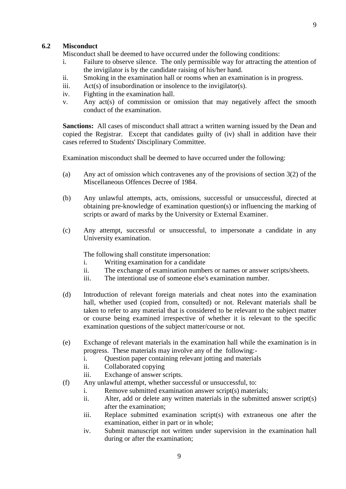#### **6.2 Misconduct**

Misconduct shall be deemed to have occurred under the following conditions:

- i. Failure to observe silence. The only permissible way for attracting the attention of the invigilator is by the candidate raising of his/her hand.
- ii. Smoking in the examination hall or rooms when an examination is in progress.
- iii.  $Act(s)$  of insubordination or insolence to the invigilator(s).
- iv. Fighting in the examination hall.
- v. Any act(s) of commission or omission that may negatively affect the smooth conduct of the examination.

**Sanctions:** All cases of misconduct shall attract a written warning issued by the Dean and copied the Registrar. Except that candidates guilty of (iv) shall in addition have their cases referred to Students' Disciplinary Committee.

Examination misconduct shall be deemed to have occurred under the following:

- (a) Any act of omission which contravenes any of the provisions of section 3(2) of the Miscellaneous Offences Decree of 1984.
- (b) Any unlawful attempts, acts, omissions, successful or unsuccessful, directed at obtaining pre-knowledge of examination question(s) or influencing the marking of scripts or award of marks by the University or External Examiner.
- (c) Any attempt, successful or unsuccessful, to impersonate a candidate in any University examination.

The following shall constitute impersonation:

- i. Writing examination for a candidate
- ii. The exchange of examination numbers or names or answer scripts/sheets.
- iii. The intentional use of someone else's examination number.
- (d) Introduction of relevant foreign materials and cheat notes into the examination hall, whether used (copied from, consulted) or not. Relevant materials shall be taken to refer to any material that is considered to be relevant to the subject matter or course being examined irrespective of whether it is relevant to the specific examination questions of the subject matter/course or not.
- (e) Exchange of relevant materials in the examination hall while the examination is in progress. These materials may involve any of the following:
	- i. Question paper containing relevant jotting and materials
	- ii. Collaborated copying
	- iii. Exchange of answer scripts.
- (f) Any unlawful attempt, whether successful or unsuccessful, to:
	- i. Remove submitted examination answer script(s) materials;
	- ii. Alter, add or delete any written materials in the submitted answer script(s) after the examination;
	- iii. Replace submitted examination script(s) with extraneous one after the examination, either in part or in whole;
	- iv. Submit manuscript not written under supervision in the examination hall during or after the examination;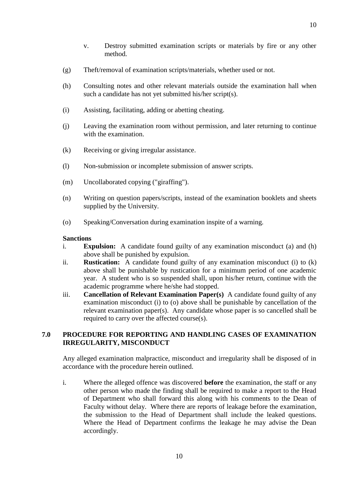- v. Destroy submitted examination scripts or materials by fire or any other method.
- (g) Theft/removal of examination scripts/materials, whether used or not.
- (h) Consulting notes and other relevant materials outside the examination hall when such a candidate has not yet submitted his/her script(s).
- (i) Assisting, facilitating, adding or abetting cheating.
- (j) Leaving the examination room without permission, and later returning to continue with the examination.
- (k) Receiving or giving irregular assistance.
- (l) Non-submission or incomplete submission of answer scripts.
- (m) Uncollaborated copying ("giraffing").
- (n) Writing on question papers/scripts, instead of the examination booklets and sheets supplied by the University.
- (o) Speaking/Conversation during examination inspite of a warning.

#### **Sanctions**

- i. **Expulsion:** A candidate found guilty of any examination misconduct (a) and (h) above shall be punished by expulsion.
- ii. **Rustication:** A candidate found guilty of any examination misconduct (i) to (k) above shall be punishable by rustication for a minimum period of one academic year. A student who is so suspended shall, upon his/her return, continue with the academic programme where he/she had stopped.
- iii. **Cancellation of Relevant Examination Paper(s)** A candidate found guilty of any examination misconduct (i) to (o) above shall be punishable by cancellation of the relevant examination paper(s). Any candidate whose paper is so cancelled shall be required to carry over the affected course(s).

### **7.0 PROCEDURE FOR REPORTING AND HANDLING CASES OF EXAMINATION IRREGULARITY, MISCONDUCT**

Any alleged examination malpractice, misconduct and irregularity shall be disposed of in accordance with the procedure herein outlined.

i. Where the alleged offence was discovered **before** the examination, the staff or any other person who made the finding shall be required to make a report to the Head of Department who shall forward this along with his comments to the Dean of Faculty without delay. Where there are reports of leakage before the examination, the submission to the Head of Department shall include the leaked questions. Where the Head of Department confirms the leakage he may advise the Dean accordingly.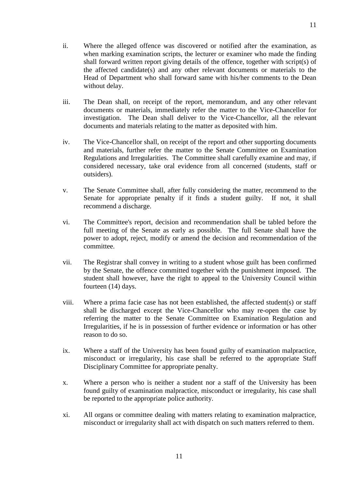- ii. Where the alleged offence was discovered or notified after the examination, as when marking examination scripts, the lecturer or examiner who made the finding shall forward written report giving details of the offence, together with script(s) of the affected candidate(s) and any other relevant documents or materials to the Head of Department who shall forward same with his/her comments to the Dean without delay.
- iii. The Dean shall, on receipt of the report, memorandum, and any other relevant documents or materials, immediately refer the matter to the Vice-Chancellor for investigation. The Dean shall deliver to the Vice-Chancellor, all the relevant documents and materials relating to the matter as deposited with him.
- iv. The Vice-Chancellor shall, on receipt of the report and other supporting documents and materials, further refer the matter to the Senate Committee on Examination Regulations and Irregularities. The Committee shall carefully examine and may, if considered necessary, take oral evidence from all concerned (students, staff or outsiders).
- v. The Senate Committee shall, after fully considering the matter, recommend to the Senate for appropriate penalty if it finds a student guilty. If not, it shall recommend a discharge.
- vi. The Committee's report, decision and recommendation shall be tabled before the full meeting of the Senate as early as possible. The full Senate shall have the power to adopt, reject, modify or amend the decision and recommendation of the committee.
- vii. The Registrar shall convey in writing to a student whose guilt has been confirmed by the Senate, the offence committed together with the punishment imposed. The student shall however, have the right to appeal to the University Council within fourteen (14) days.
- viii. Where a prima facie case has not been established, the affected student(s) or staff shall be discharged except the Vice-Chancellor who may re-open the case by referring the matter to the Senate Committee on Examination Regulation and Irregularities, if he is in possession of further evidence or information or has other reason to do so.
- ix. Where a staff of the University has been found guilty of examination malpractice, misconduct or irregularity, his case shall be referred to the appropriate Staff Disciplinary Committee for appropriate penalty.
- x. Where a person who is neither a student nor a staff of the University has been found guilty of examination malpractice, misconduct or irregularity, his case shall be reported to the appropriate police authority.
- xi. All organs or committee dealing with matters relating to examination malpractice, misconduct or irregularity shall act with dispatch on such matters referred to them.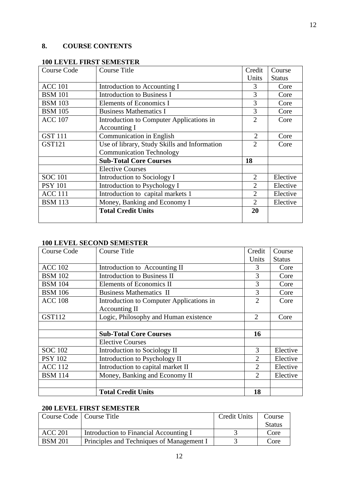# **8. COURSE CONTENTS**

| Course Code    | <b>Course Title</b>                          | Credit                      | Course        |
|----------------|----------------------------------------------|-----------------------------|---------------|
|                |                                              | Units                       | <b>Status</b> |
| <b>ACC 101</b> | Introduction to Accounting I                 | 3                           | Core          |
| <b>BSM</b> 101 | <b>Introduction to Business I</b>            | 3                           | Core          |
| <b>BSM</b> 103 | Elements of Economics I                      | 3                           | Core          |
| <b>BSM</b> 105 | <b>Business Mathematics I</b>                | 3                           | Core          |
| <b>ACC 107</b> | Introduction to Computer Applications in     | $\mathcal{D}_{\mathcal{L}}$ | Core          |
|                | Accounting I                                 |                             |               |
| <b>GST 111</b> | <b>Communication in English</b>              | $\overline{2}$              | Core          |
| <b>GST121</b>  | Use of library, Study Skills and Information | $\overline{2}$              | Core          |
|                | <b>Communication Technology</b>              |                             |               |
|                | <b>Sub-Total Core Courses</b>                | 18                          |               |
|                | <b>Elective Courses</b>                      |                             |               |
| <b>SOC 101</b> | Introduction to Sociology I                  | 2                           | Elective      |
| <b>PSY 101</b> | Introduction to Psychology I                 | 2                           | Elective      |
| <b>ACC</b> 111 | Introduction to capital markets 1            | 2                           | Elective      |
| <b>BSM</b> 113 | Money, Banking and Economy I                 | $\overline{2}$              | Elective      |
|                | <b>Total Credit Units</b>                    | 20                          |               |
|                |                                              |                             |               |

# **100 LEVEL FIRST SEMESTER**

# **100 LEVEL SECOND SEMESTER**

| <b>Course Code</b> | <b>Course Title</b>                      | Credit                      | Course        |
|--------------------|------------------------------------------|-----------------------------|---------------|
|                    |                                          | Units                       | <b>Status</b> |
| <b>ACC 102</b>     | Introduction to Accounting II            | 3                           | Core          |
| <b>BSM</b> 102     | <b>Introduction to Business II</b>       | 3                           | Core          |
| <b>BSM 104</b>     | Elements of Economics II                 | 3                           | Core          |
| <b>BSM 106</b>     | <b>Business Mathematics II</b>           | 3                           | Core          |
| <b>ACC 108</b>     | Introduction to Computer Applications in | $\overline{2}$              | Core          |
|                    | Accounting II                            |                             |               |
| <b>GST112</b>      | Logic, Philosophy and Human existence    | 2                           | Core          |
|                    |                                          |                             |               |
|                    | <b>Sub-Total Core Courses</b>            | 16                          |               |
|                    | <b>Elective Courses</b>                  |                             |               |
| <b>SOC 102</b>     | Introduction to Sociology II             | 3                           | Elective      |
| <b>PSY 102</b>     | Introduction to Psychology II            | 2                           | Elective      |
| <b>ACC 112</b>     | Introduction to capital market II        | 2                           | Elective      |
| <b>BSM</b> 114     | Money, Banking and Economy II            | $\mathcal{D}_{\mathcal{L}}$ | Elective      |
|                    | <b>Total Credit Units</b>                | 18                          |               |
|                    |                                          |                             |               |

# **200 LEVEL FIRST SEMESTER**

| Course Code   Course Title |                                           | Credit Units | Course        |
|----------------------------|-------------------------------------------|--------------|---------------|
|                            |                                           |              | <b>Status</b> |
| <b>ACC 201</b>             | Introduction to Financial Accounting I    |              | Core          |
| <b>BSM 201</b>             | Principles and Techniques of Management I |              | Core          |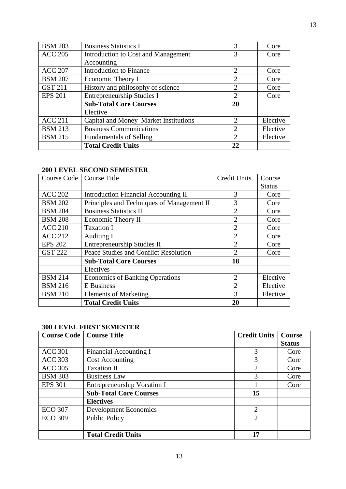| <b>BSM 203</b> | <b>Business Statistics I</b>          | 3                           | Core     |
|----------------|---------------------------------------|-----------------------------|----------|
| <b>ACC 205</b> | Introduction to Cost and Management   | 3                           | Core     |
|                | Accounting                            |                             |          |
| <b>ACC 207</b> | <b>Introduction to Finance</b>        | $\overline{2}$              | Core     |
| <b>BSM 207</b> | Economic Theory I                     | $\overline{2}$              | Core     |
| <b>GST 211</b> | History and philosophy of science     | $\mathcal{D}_{\mathcal{L}}$ | Core     |
| <b>EPS 201</b> | <b>Entrepreneurship Studies I</b>     | $\overline{2}$              | Core     |
|                | <b>Sub-Total Core Courses</b>         | 20                          |          |
|                | Elective                              |                             |          |
| <b>ACC 211</b> | Capital and Money Market Institutions | $\mathcal{D}_{\cdot}$       | Elective |
| <b>BSM 213</b> | <b>Business Communications</b>        | $\overline{2}$              | Elective |
| <b>BSM 215</b> | <b>Fundamentals of Selling</b>        | $\overline{2}$              | Elective |
|                | <b>Total Credit Units</b>             | 22                          |          |

# **200 LEVEL SECOND SEMESTER**

| <b>Course Code</b> | <b>Course Title</b>                         | <b>Credit Units</b> | Course        |
|--------------------|---------------------------------------------|---------------------|---------------|
|                    |                                             |                     | <b>Status</b> |
| <b>ACC 202</b>     | <b>Introduction Financial Accounting II</b> | 3                   | Core          |
| <b>BSM 202</b>     | Principles and Techniques of Management II  | 3                   | Core          |
| <b>BSM 204</b>     | <b>Business Statistics II</b>               | $\overline{2}$      | Core          |
| <b>BSM 208</b>     | Economic Theory II                          | $\overline{2}$      | Core          |
| <b>ACC 210</b>     | <b>Taxation I</b>                           | $\overline{2}$      | Core          |
| <b>ACC 212</b>     | Auditing I                                  | $\overline{2}$      | Core          |
| <b>EPS 202</b>     | <b>Entrepreneurship Studies II</b>          | $\overline{2}$      | Core          |
| <b>GST 222</b>     | Peace Studies and Conflict Resolution       | $\overline{2}$      | Core          |
|                    | <b>Sub-Total Core Courses</b>               | 18                  |               |
|                    | Electives                                   |                     |               |
| <b>BSM 214</b>     | <b>Economics of Banking Operations</b>      | $\overline{2}$      | Elective      |
| <b>BSM 216</b>     | <b>E</b> Business                           | $\overline{2}$      | Elective      |
| <b>BSM 210</b>     | <b>Elements of Marketing</b>                | 3                   | Elective      |
|                    | <b>Total Credit Units</b>                   | 20                  |               |

## **300 LEVEL FIRST SEMESTER**

| <b>Course Code</b> | <b>Course Title</b>           | <b>Credit Units</b> | <b>Course</b> |
|--------------------|-------------------------------|---------------------|---------------|
|                    |                               |                     | <b>Status</b> |
| <b>ACC 301</b>     | Financial Accounting I        | 3                   | Core          |
| <b>ACC 303</b>     | <b>Cost Accounting</b>        | 3                   | Core          |
| <b>ACC 305</b>     | <b>Taxation II</b>            | 2                   | Core          |
| <b>BSM 303</b>     | <b>Business Law</b>           | 3                   | Core          |
| <b>EPS 301</b>     | Entrepreneurship Vocation I   |                     | Core          |
|                    | <b>Sub-Total Core Courses</b> | 15                  |               |
|                    | <b>Electives</b>              |                     |               |
| <b>ECO 307</b>     | <b>Development Economics</b>  | $\overline{2}$      |               |
| <b>ECO 309</b>     | <b>Public Policy</b>          | 2                   |               |
|                    |                               |                     |               |
|                    | <b>Total Credit Units</b>     | 17                  |               |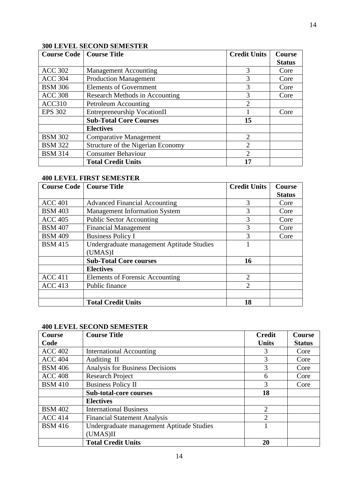# **300 LEVEL SECOND SEMESTER**

| <b>Course Code</b> | <b>Course Title</b>                | <b>Credit Units</b>         | <b>Course</b> |
|--------------------|------------------------------------|-----------------------------|---------------|
|                    |                                    |                             | <b>Status</b> |
| <b>ACC 302</b>     | <b>Management Accounting</b>       | 3                           | Core          |
| <b>ACC 304</b>     | <b>Production Management</b>       | 3                           | Core          |
| <b>BSM 306</b>     | <b>Elements of Government</b>      | 3                           | Core          |
| <b>ACC 308</b>     | Research Methods in Accounting     | 3                           | Core          |
| <b>ACC310</b>      | Petroleum Accounting               | $\mathcal{D}_{\mathcal{L}}$ |               |
| <b>EPS 302</b>     | <b>Entrepreneurship VocationII</b> |                             | Core          |
|                    | <b>Sub-Total Core Courses</b>      | 15                          |               |
|                    | <b>Electives</b>                   |                             |               |
| <b>BSM 302</b>     | <b>Comparative Management</b>      | 2                           |               |
| <b>BSM 322</b>     | Structure of the Nigerian Economy  | $\overline{2}$              |               |
| <b>BSM 314</b>     | <b>Consumer Behaviour</b>          | $\mathcal{D}_{\mathcal{L}}$ |               |
|                    | <b>Total Credit Units</b>          | 17                          |               |

## **400 LEVEL FIRST SEMESTER**

| <b>Course Code</b> | <b>Course Title</b>                       | <b>Credit Units</b> | <b>Course</b> |
|--------------------|-------------------------------------------|---------------------|---------------|
|                    |                                           |                     | <b>Status</b> |
| <b>ACC 401</b>     | <b>Advanced Financial Accounting</b>      | 3                   | Core          |
| <b>BSM 403</b>     | <b>Management Information System</b>      | 3                   | Core          |
| <b>ACC 405</b>     | <b>Public Sector Accounting</b>           | 3                   | Core          |
| <b>BSM 407</b>     | <b>Financial Management</b>               | 3                   | Core          |
| <b>BSM 409</b>     | <b>Business Policy I</b>                  | 3                   | Core          |
| <b>BSM 415</b>     | Undergraduate management Aptitude Studies |                     |               |
|                    | (UMAS)I                                   |                     |               |
|                    | <b>Sub-Total Core courses</b>             | 16                  |               |
|                    | <b>Electives</b>                          |                     |               |
| <b>ACC 411</b>     | Elements of Forensic Accounting           | $\mathfrak{D}$      |               |
| <b>ACC 413</b>     | Public finance                            | $\mathfrak{D}$      |               |
|                    |                                           |                     |               |
|                    | <b>Total Credit Units</b>                 | 18                  |               |

# **400 LEVEL SECOND SEMESTER**

| <b>Course</b>  | <b>Course Title</b>                       | <b>Credit</b>  | <b>Course</b> |
|----------------|-------------------------------------------|----------------|---------------|
| Code           |                                           | <b>Units</b>   | <b>Status</b> |
| <b>ACC 402</b> | <b>International Accounting</b>           | 3              | Core          |
| <b>ACC 404</b> | Auditing II                               | 3              | Core          |
| <b>BSM 406</b> | <b>Analysis for Business Decisions</b>    | 3              | Core          |
| <b>ACC 408</b> | <b>Research Project</b>                   | 6              | Core          |
| <b>BSM 410</b> | <b>Business Policy II</b>                 | 3              | Core          |
|                | <b>Sub-total-core courses</b>             | 18             |               |
|                | <b>Electives</b>                          |                |               |
| <b>BSM 402</b> | <b>International Business</b>             | $\overline{2}$ |               |
| <b>ACC 414</b> | <b>Financial Statement Analysis</b>       | $\overline{2}$ |               |
| <b>BSM</b> 416 | Undergraduate management Aptitude Studies |                |               |
|                | (UMAS)II                                  |                |               |
|                | <b>Total Credit Units</b>                 | 20             |               |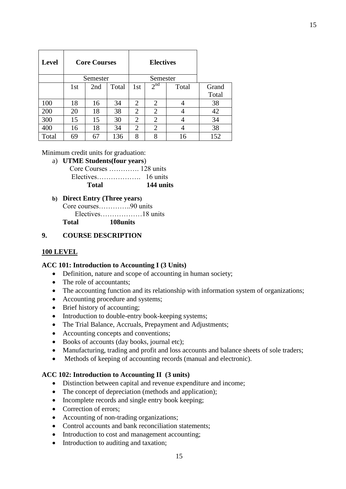| <b>Level</b> |     | <b>Core Courses</b> |       |                | <b>Electives</b> |       |       |
|--------------|-----|---------------------|-------|----------------|------------------|-------|-------|
|              |     | Semester            |       |                | Semester         |       |       |
|              | 1st | 2nd                 | Total | 1st            | $2^{nd}$         | Total | Grand |
|              |     |                     |       |                |                  |       | Total |
| 100          | 18  | 16                  | 34    | 2              | 2                | 4     | 38    |
| 200          | 20  | 18                  | 38    | 2              | $\overline{2}$   |       | 42    |
| 300          | 15  | 15                  | 30    | $\overline{2}$ | $\overline{2}$   | 4     | 34    |
| 400          | 16  | 18                  | 34    | $\mathfrak{D}$ | 2                |       | 38    |
| Total        | 69  | 67                  | 136   | 8              | 8                | 16    | 152   |

#### Minimum credit units for graduation:

a) **UTME Students(four years**)

| Total | 144 units |
|-------|-----------|
|       |           |
|       |           |

**b) Direct Entry (Three years)**

Core courses…………..90 units Electives………………18 units

**Total 108units**

### **9. COURSE DESCRIPTION**

### **100 LEVEL**

### **ACC 101: Introduction to Accounting I (3 Units)**

- Definition, nature and scope of accounting in human society;
- The role of accountants;
- The accounting function and its relationship with information system of organizations;
- Accounting procedure and systems;
- Brief history of accounting;
- Introduction to double-entry book-keeping systems;
- The Trial Balance, Accruals, Prepayment and Adjustments;
- Accounting concepts and conventions;
- Books of accounts (day books, journal etc);
- Manufacturing, trading and profit and loss accounts and balance sheets of sole traders;
- Methods of keeping of accounting records (manual and electronic).

#### **ACC 102: Introduction to Accounting II (3 units)**

- Distinction between capital and revenue expenditure and income;
- The concept of depreciation (methods and application);
- Incomplete records and single entry book keeping;
- Correction of errors;
- Accounting of non-trading organizations;
- Control accounts and bank reconciliation statements;
- Introduction to cost and management accounting;
- Introduction to auditing and taxation;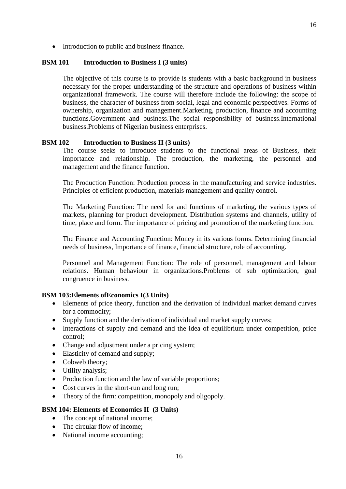• Introduction to public and business finance.

#### **BSM 101 Introduction to Business I (3 units)**

The objective of this course is to provide is students with a basic background in business necessary for the proper understanding of the structure and operations of business within organizational framework. The course will therefore include the following: the scope of business, the character of business from social, legal and economic perspectives. Forms of ownership, organization and management.Marketing, production, finance and accounting functions.Government and business.The social responsibility of business.International business.Problems of Nigerian business enterprises.

16

#### **BSM 102 Introduction to Business II (3 units)**

The course seeks to introduce students to the functional areas of Business, their importance and relationship. The production, the marketing, the personnel and management and the finance function.

The Production Function: Production process in the manufacturing and service industries. Principles of efficient production, materials management and quality control.

The Marketing Function: The need for and functions of marketing, the various types of markets, planning for product development. Distribution systems and channels, utility of time, place and form. The importance of pricing and promotion of the marketing function.

The Finance and Accounting Function: Money in its various forms. Determining financial needs of business, Importance of finance, financial structure, role of accounting.

Personnel and Management Function: The role of personnel, management and labour relations. Human behaviour in organizations.Problems of sub optimization, goal congruence in business.

#### **BSM 103:Elements ofEconomics I(3 Units)**

- Elements of price theory, function and the derivation of individual market demand curves for a commodity;
- Supply function and the derivation of individual and market supply curves;
- Interactions of supply and demand and the idea of equilibrium under competition, price control;
- Change and adjustment under a pricing system;
- Elasticity of demand and supply;
- Cobweb theory;
- Utility analysis;
- Production function and the law of variable proportions;
- Cost curves in the short-run and long run;
- Theory of the firm: competition, monopoly and oligopoly.

### **BSM 104: Elements of Economics II (3 Units)**

- The concept of national income;
- The circular flow of income;
- National income accounting;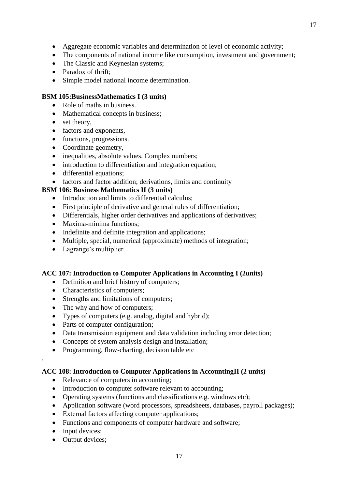- 
- Aggregate economic variables and determination of level of economic activity;
- The components of national income like consumption, investment and government;
- The Classic and Keynesian systems;
- Paradox of thrift;
- Simple model national income determination.

# **BSM 105:BusinessMathematics I (3 units)**

- Role of maths in business.
- Mathematical concepts in business;
- set theory,
- factors and exponents,
- functions, progressions.
- Coordinate geometry,
- inequalities, absolute values. Complex numbers;
- introduction to differentiation and integration equation;
- differential equations;
- factors and factor addition; derivations, limits and continuity

# **BSM 106: Business Mathematics II (3 units)**

- Introduction and limits to differential calculus:
- First principle of derivative and general rules of differentiation;
- Differentials, higher order derivatives and applications of derivatives;
- Maxima-minima functions:
- Indefinite and definite integration and applications;
- Multiple, special, numerical (approximate) methods of integration;
- Lagrange's multiplier.

# **ACC 107: Introduction to Computer Applications in Accounting I (2units)**

- Definition and brief history of computers;
- Characteristics of computers;
- Strengths and limitations of computers;
- The why and how of computers;
- Types of computers (e.g. analog, digital and hybrid);
- Parts of computer configuration;
- Data transmission equipment and data validation including error detection;
- Concepts of system analysis design and installation;
- Programming, flow-charting, decision table etc

# **ACC 108: Introduction to Computer Applications in AccountingII (2 units)**

- Relevance of computers in accounting;
- Introduction to computer software relevant to accounting;
- Operating systems (functions and classifications e.g. windows etc);
- Application software (word processors, spreadsheets, databases, payroll packages);
- External factors affecting computer applications;
- Functions and components of computer hardware and software;
- Input devices;

.

• Output devices;

17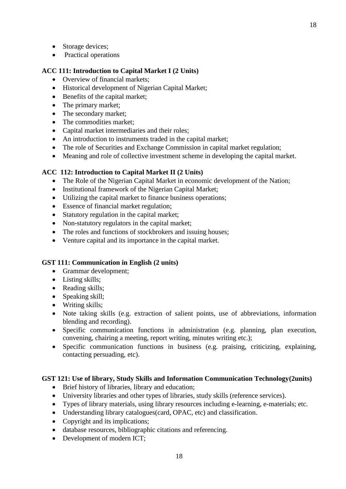- Storage devices;
- Practical operations

### **ACC 111: Introduction to Capital Market I (2 Units)**

- Overview of financial markets;
- Historical development of Nigerian Capital Market;
- Benefits of the capital market;
- The primary market:
- The secondary market;
- The commodities market:
- Capital market intermediaries and their roles;
- An introduction to instruments traded in the capital market;
- The role of Securities and Exchange Commission in capital market regulation;
- Meaning and role of collective investment scheme in developing the capital market.

### **ACC 112: Introduction to Capital Market II (2 Units)**

- The Role of the Nigerian Capital Market in economic development of the Nation;
- Institutional framework of the Nigerian Capital Market;
- Utilizing the capital market to finance business operations;
- Essence of financial market regulation;
- Statutory regulation in the capital market:
- Non-statutory regulators in the capital market;
- The roles and functions of stockbrokers and issuing houses;
- Venture capital and its importance in the capital market.

### **GST 111: Communication in English (2 units)**

- Grammar development;
- Listing skills;
- Reading skills;
- $\bullet$  Speaking skill;
- Writing skills;
- Note taking skills (e.g. extraction of salient points, use of abbreviations, information blending and recording).
- Specific communication functions in administration (e.g. planning, plan execution, convening, chairing a meeting, report writing, minutes writing etc.);
- Specific communication functions in business (e.g. praising, criticizing, explaining, contacting persuading, etc).

### **GST 121: Use of library, Study Skills and Information Communication Technology(2units)**

- Brief history of libraries, library and education;
- University libraries and other types of libraries, study skills (reference services).
- Types of library materials, using library resources including e-learning, e-materials; etc.
- Understanding library catalogues(card, OPAC, etc) and classification.
- Copyright and its implications;
- database resources, bibliographic citations and referencing.
- Development of modern ICT;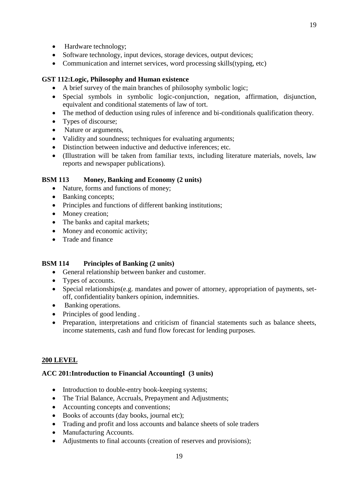- Hardware technology;
- Software technology, input devices, storage devices, output devices;
- Communication and internet services, word processing skills(typing, etc)

### **GST 112:Logic, Philosophy and Human existence**

- A brief survey of the main branches of philosophy symbolic logic;
- Special symbols in symbolic logic-conjunction, negation, affirmation, disjunction, equivalent and conditional statements of law of tort.
- The method of deduction using rules of inference and bi-conditionals qualification theory.
- Types of discourse;
- Nature or arguments,
- Validity and soundness; techniques for evaluating arguments;
- Distinction between inductive and deductive inferences; etc.
- (Illustration will be taken from familiar texts, including literature materials, novels, law reports and newspaper publications).

### **BSM 113 Money, Banking and Economy (2 units)**

- Nature, forms and functions of money:
- Banking concepts;
- Principles and functions of different banking institutions;
- Money creation;
- The banks and capital markets;
- Money and economic activity;
- Trade and finance

### **BSM 114 Principles of Banking (2 units)**

- General relationship between banker and customer.
- Types of accounts.
- Special relationships(e.g. mandates and power of attorney, appropriation of payments, setoff, confidentiality bankers opinion, indemnities.
- Banking operations.
- Principles of good lending.
- Preparation, interpretations and criticism of financial statements such as balance sheets, income statements, cash and fund flow forecast for lending purposes.

# **200 LEVEL**

### **ACC 201:Introduction to Financial AccountingI (3 units)**

- Introduction to double-entry book-keeping systems;
- The Trial Balance, Accruals, Prepayment and Adjustments;
- Accounting concepts and conventions;
- Books of accounts (day books, journal etc);
- Trading and profit and loss accounts and balance sheets of sole traders
- Manufacturing Accounts.
- Adjustments to final accounts (creation of reserves and provisions);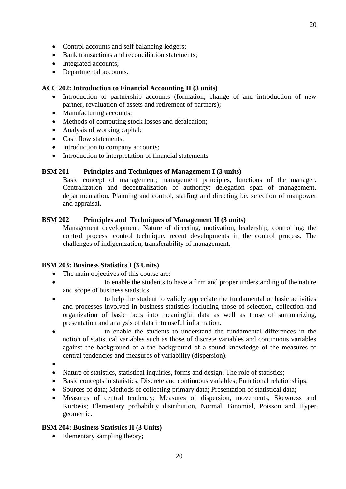- Control accounts and self balancing ledgers;
- Bank transactions and reconciliation statements:
- Integrated accounts;
- Departmental accounts.

### **ACC 202: Introduction to Financial Accounting II (3 units)**

- Introduction to partnership accounts (formation, change of and introduction of new partner, revaluation of assets and retirement of partners);
- Manufacturing accounts;
- Methods of computing stock losses and defalcation;
- Analysis of working capital;
- Cash flow statements:
- Introduction to company accounts;
- Introduction to interpretation of financial statements

# **BSM 201 Principles and Techniques of Management I (3 units)**

Basic concept of management; management principles, functions of the manager. Centralization and decentralization of authority: delegation span of management, departmentation. Planning and control, staffing and directing i.e. selection of manpower and appraisal**.**

# **BSM 202 Principles and Techniques of Management II (3 units)**

Management development. Nature of directing, motivation, leadership, controlling: the control process, control technique, recent developments in the control process. The challenges of indigenization, transferability of management.

### **BSM 203: Business Statistics I (3 Units)**

- The main objectives of this course are:
- to enable the students to have a firm and proper understanding of the nature and scope of business statistics.
- to help the student to validly appreciate the fundamental or basic activities and processes involved in business statistics including those of selection, collection and organization of basic facts into meaningful data as well as those of summarizing, presentation and analysis of data into useful information.
- to enable the students to understand the fundamental differences in the notion of statistical variables such as those of discrete variables and continuous variables against the background of a the background of a sound knowledge of the measures of central tendencies and measures of variability (dispersion).
- $\bullet$
- Nature of statistics, statistical inquiries, forms and design; The role of statistics;
- Basic concepts in statistics; Discrete and continuous variables; Functional relationships;
- Sources of data; Methods of collecting primary data; Presentation of statistical data;
- Measures of central tendency; Measures of dispersion, movements, Skewness and Kurtosis; Elementary probability distribution, Normal, Binomial, Poisson and Hyper geometric.

### **BSM 204: Business Statistics II (3 Units)**

• Elementary sampling theory;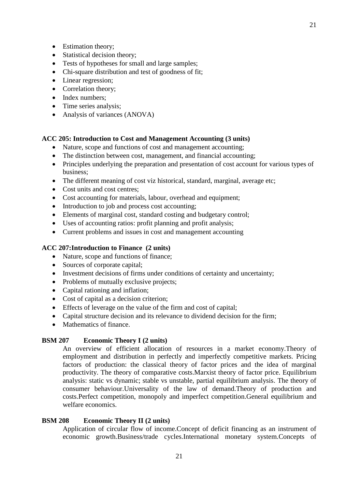- Estimation theory;
- Statistical decision theory:
- Tests of hypotheses for small and large samples;
- Chi-square distribution and test of goodness of fit;
- Linear regression;
- Correlation theory;
- Index numbers;
- Time series analysis:
- Analysis of variances (ANOVA)

### **ACC 205: Introduction to Cost and Management Accounting (3 units)**

- Nature, scope and functions of cost and management accounting;
- The distinction between cost, management, and financial accounting;
- Principles underlying the preparation and presentation of cost account for various types of business;
- The different meaning of cost viz historical, standard, marginal, average etc;
- Cost units and cost centres;
- Cost accounting for materials, labour, overhead and equipment;
- Introduction to job and process cost accounting;
- Elements of marginal cost, standard costing and budgetary control;
- Uses of accounting ratios: profit planning and profit analysis;
- Current problems and issues in cost and management accounting

### **ACC 207:Introduction to Finance (2 units)**

- Nature, scope and functions of finance;
- Sources of corporate capital;
- Investment decisions of firms under conditions of certainty and uncertainty;
- Problems of mutually exclusive projects;
- Capital rationing and inflation;
- Cost of capital as a decision criterion;
- Effects of leverage on the value of the firm and cost of capital;
- Capital structure decision and its relevance to dividend decision for the firm;
- Mathematics of finance.

# **BSM 207 Economic Theory I (2 units)**

An overview of efficient allocation of resources in a market economy.Theory of employment and distribution in perfectly and imperfectly competitive markets. Pricing factors of production: the classical theory of factor prices and the idea of marginal productivity. The theory of comparative costs.Marxist theory of factor price. Equilibrium analysis: static vs dynamic; stable vs unstable, partial equilibrium analysis. The theory of consumer behaviour.Universality of the law of demand.Theory of production and costs.Perfect competition, monopoly and imperfect competition.General equilibrium and welfare economics.

### **BSM 208 Economic Theory II (2 units)**

Application of circular flow of income.Concept of deficit financing as an instrument of economic growth.Business/trade cycles.International monetary system.Concepts of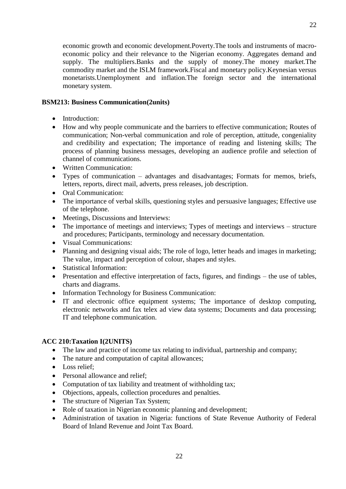22

economic growth and economic development.Poverty.The tools and instruments of macroeconomic policy and their relevance to the Nigerian economy. Aggregates demand and supply. The multipliers.Banks and the supply of money.The money market.The commodity market and the ISLM framework.Fiscal and monetary policy.Keynesian versus monetarists.Unemployment and inflation.The foreign sector and the international monetary system.

# **BSM213: Business Communication(2units)**

- Introduction:
- How and why people communicate and the barriers to effective communication; Routes of communication; Non-verbal communication and role of perception, attitude, congeniality and credibility and expectation; The importance of reading and listening skills; The process of planning business messages, developing an audience profile and selection of channel of communications.
- Written Communication:
- Types of communication advantages and disadvantages; Formats for memos, briefs, letters, reports, direct mail, adverts, press releases, job description.
- Oral Communication:
- The importance of verbal skills, questioning styles and persuasive languages; Effective use of the telephone.
- Meetings, Discussions and Interviews:
- The importance of meetings and interviews; Types of meetings and interviews structure and procedures; Participants, terminology and necessary documentation.
- Visual Communications:
- Planning and designing visual aids; The role of logo, letter heads and images in marketing; The value, impact and perception of colour, shapes and styles.
- Statistical Information:
- Presentation and effective interpretation of facts, figures, and findings the use of tables, charts and diagrams.
- Information Technology for Business Communication:
- IT and electronic office equipment systems; The importance of desktop computing, electronic networks and fax telex ad view data systems; Documents and data processing; IT and telephone communication.

# **ACC 210:Taxation I(2UNITS)**

- The law and practice of income tax relating to individual, partnership and company;
- The nature and computation of capital allowances;
- $\bullet$  Loss relief:
- Personal allowance and relief;
- Computation of tax liability and treatment of withholding tax;
- Objections, appeals, collection procedures and penalties.
- The structure of Nigerian Tax System;
- Role of taxation in Nigerian economic planning and development;
- Administration of taxation in Nigeria: functions of State Revenue Authority of Federal Board of Inland Revenue and Joint Tax Board.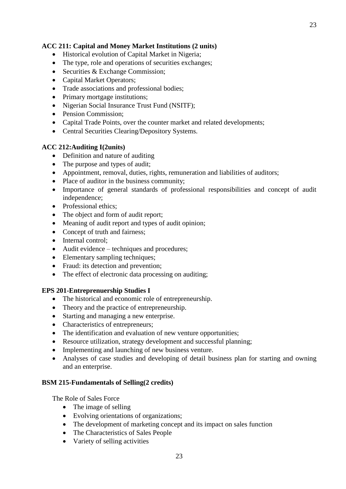### **ACC 211: Capital and Money Market Institutions (2 units)**

- Historical evolution of Capital Market in Nigeria;
- The type, role and operations of securities exchanges;
- Securities & Exchange Commission;
- Capital Market Operators;
- Trade associations and professional bodies;
- Primary mortgage institutions;
- Nigerian Social Insurance Trust Fund (NSITF);
- Pension Commission:
- Capital Trade Points, over the counter market and related developments;
- Central Securities Clearing/Depository Systems.

### **ACC 212:Auditing I(2units)**

- Definition and nature of auditing
- The purpose and types of audit;
- Appointment, removal, duties, rights, remuneration and liabilities of auditors;
- Place of auditor in the business community;
- Importance of general standards of professional responsibilities and concept of audit independence;
- Professional ethics;
- The object and form of audit report:
- Meaning of audit report and types of audit opinion;
- Concept of truth and fairness;
- Internal control:
- Audit evidence techniques and procedures;
- Elementary sampling techniques;
- Fraud: its detection and prevention;
- The effect of electronic data processing on auditing;

### **EPS 201-Entreprenuership Studies I**

- The historical and economic role of entrepreneurship.
- Theory and the practice of entrepreneurship.
- Starting and managing a new enterprise.
- Characteristics of entrepreneurs;
- The identification and evaluation of new venture opportunities;
- Resource utilization, strategy development and successful planning;
- Implementing and launching of new business venture.
- Analyses of case studies and developing of detail business plan for starting and owning and an enterprise.

### **BSM 215-Fundamentals of Selling(2 credits)**

The Role of Sales Force

- The image of selling
- Evolving orientations of organizations;
- The development of marketing concept and its impact on sales function
- The Characteristics of Sales People
- Variety of selling activities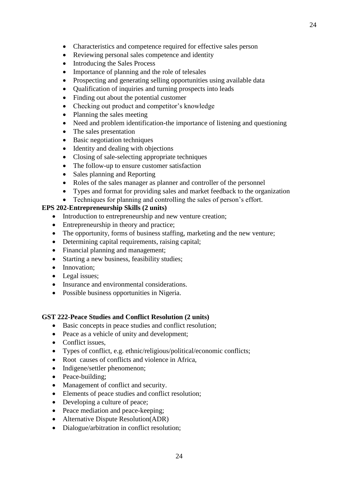- Characteristics and competence required for effective sales person
- Reviewing personal sales competence and identity
- Introducing the Sales Process
- Importance of planning and the role of telesales
- Prospecting and generating selling opportunities using available data
- Qualification of inquiries and turning prospects into leads
- Finding out about the potential customer
- Checking out product and competitor's knowledge
- Planning the sales meeting
- Need and problem identification-the importance of listening and questioning
- The sales presentation
- Basic negotiation techniques
- Identity and dealing with objections
- Closing of sale-selecting appropriate techniques
- The follow-up to ensure customer satisfaction
- Sales planning and Reporting
- Roles of the sales manager as planner and controller of the personnel
- Types and format for providing sales and market feedback to the organization
- Techniques for planning and controlling the sales of person's effort.

### **EPS 202-Entrepreneurship Skills (2 units)**

- Introduction to entrepreneurship and new venture creation;
- Entrepreneurship in theory and practice;
- The opportunity, forms of business staffing, marketing and the new venture;
- Determining capital requirements, raising capital;
- Financial planning and management;
- Starting a new business, feasibility studies;
- Innovation;
- Legal issues;
- Insurance and environmental considerations.
- Possible business opportunities in Nigeria.

### **GST 222-Peace Studies and Conflict Resolution (2 units)**

- Basic concepts in peace studies and conflict resolution;
- Peace as a vehicle of unity and development;
- Conflict issues.
- Types of conflict, e.g. ethnic/religious/political/economic conflicts;
- Root causes of conflicts and violence in Africa,
- Indigene/settler phenomenon;
- Peace-building;
- Management of conflict and security.
- Elements of peace studies and conflict resolution;
- Developing a culture of peace;
- Peace mediation and peace-keeping;
- Alternative Dispute Resolution(ADR)
- Dialogue/arbitration in conflict resolution;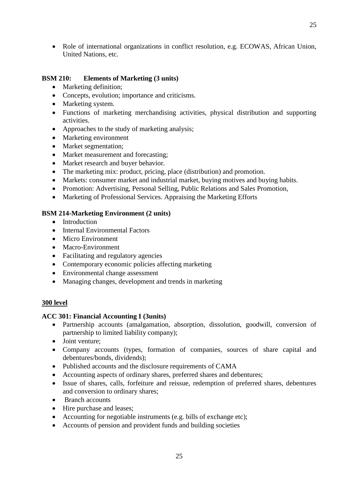• Role of international organizations in conflict resolution, e.g. ECOWAS, African Union, United Nations, etc.

### **BSM 210: Elements of Marketing (3 units)**

- Marketing definition;
- Concepts, evolution; importance and criticisms.
- Marketing system.
- Functions of marketing merchandising activities, physical distribution and supporting activities.
- Approaches to the study of marketing analysis;
- Marketing environment
- Market segmentation;
- Market measurement and forecasting;
- Market research and buyer behavior.
- The marketing mix: product, pricing, place (distribution) and promotion.
- Markets: consumer market and industrial market, buying motives and buying habits.
- Promotion: Advertising, Personal Selling, Public Relations and Sales Promotion,
- Marketing of Professional Services. Appraising the Marketing Efforts

### **BSM 214-Marketing Environment (2 units)**

- Introduction
- Internal Environmental Factors
- Micro Environment
- Macro-Environment
- Facilitating and regulatory agencies
- Contemporary economic policies affecting marketing
- Environmental change assessment
- Managing changes, development and trends in marketing

### **300 level**

### **ACC 301: Financial Accounting I (3units)**

- Partnership accounts (amalgamation, absorption, dissolution, goodwill, conversion of partnership to limited liability company);
- Joint venture:
- Company accounts (types, formation of companies, sources of share capital and debentures/bonds, dividends);
- Published accounts and the disclosure requirements of CAMA
- Accounting aspects of ordinary shares, preferred shares and debentures;
- Issue of shares, calls, forfeiture and reissue, redemption of preferred shares, debentures and conversion to ordinary shares;
- Branch accounts
- Hire purchase and leases;
- Accounting for negotiable instruments (e.g. bills of exchange etc);
- Accounts of pension and provident funds and building societies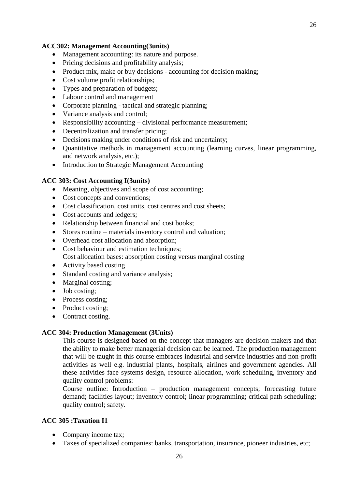#### **ACC302: Management Accounting(3units)**

- Management accounting: its nature and purpose.
- Pricing decisions and profitability analysis;
- Product mix, make or buy decisions accounting for decision making;
- Cost volume profit relationships;
- Types and preparation of budgets;
- Labour control and management
- Corporate planning tactical and strategic planning;
- Variance analysis and control;
- Responsibility accounting divisional performance measurement;
- Decentralization and transfer pricing;
- Decisions making under conditions of risk and uncertainty;
- Quantitative methods in management accounting (learning curves, linear programming, and network analysis, etc.);
- Introduction to Strategic Management Accounting

#### **ACC 303: Cost Accounting I(3units)**

- Meaning, objectives and scope of cost accounting;
- Cost concepts and conventions;
- Cost classification, cost units, cost centres and cost sheets;
- Cost accounts and ledgers:
- Relationship between financial and cost books;
- Stores routine materials inventory control and valuation;
- Overhead cost allocation and absorption;
- Cost behaviour and estimation techniques; Cost allocation bases: absorption costing versus marginal costing
- Activity based costing
- Standard costing and variance analysis;
- Marginal costing;
- Job costing;
- Process costing;
- Product costing;
- Contract costing.

#### **ACC 304: Production Management (3Units)**

This course is designed based on the concept that managers are decision makers and that the ability to make better managerial decision can be learned. The production management that will be taught in this course embraces industrial and service industries and non-profit activities as well e.g. industrial plants, hospitals, airlines and government agencies. All these activities face systems design, resource allocation, work scheduling, inventory and quality control problems:

Course outline: Introduction – production management concepts; forecasting future demand; facilities layout; inventory control; linear programming; critical path scheduling; quality control; safety.

#### **ACC 305 :Taxation I1**

- Company income tax;
- Taxes of specialized companies: banks, transportation, insurance, pioneer industries, etc;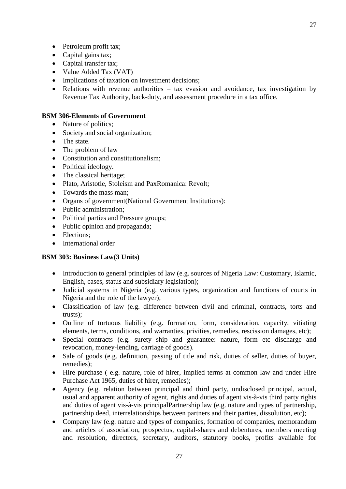- Petroleum profit tax;
- Capital gains tax:
- Capital transfer tax;
- Value Added Tax (VAT)
- Implications of taxation on investment decisions;
- Relations with revenue authorities tax evasion and avoidance, tax investigation by Revenue Tax Authority, back-duty, and assessment procedure in a tax office.

#### **BSM 306-Elements of Government**

- Nature of politics:
- Society and social organization;
- The state.
- The problem of law
- Constitution and constitutionalism;
- Political ideology.
- The classical heritage;
- Plato, Aristotle, Stoleism and PaxRomanica: Revolt;
- Towards the mass man;
- Organs of government(National Government Institutions):
- Public administration:
- Political parties and Pressure groups;
- Public opinion and propaganda;
- Elections:
- International order

### **BSM 303: Business Law(3 Units)**

- Introduction to general principles of law (e.g. sources of Nigeria Law: Customary, Islamic, English, cases, status and subsidiary legislation);
- Judicial systems in Nigeria (e.g. various types, organization and functions of courts in Nigeria and the role of the lawyer);
- Classification of law (e.g. difference between civil and criminal, contracts, torts and trusts);
- Outline of tortuous liability (e.g. formation, form, consideration, capacity, vitiating elements, terms, conditions, and warranties, privities, remedies, rescission damages, etc);
- Special contracts (e.g. surety ship and guarantee: nature, form etc discharge and revocation, money-lending, carriage of goods).
- Sale of goods (e.g. definition, passing of title and risk, duties of seller, duties of buyer, remedies);
- Hire purchase (e.g. nature, role of hirer, implied terms at common law and under Hire Purchase Act 1965, duties of hirer, remedies);
- Agency (e.g. relation between principal and third party, undisclosed principal, actual, usual and apparent authority of agent, rights and duties of agent vis-à-vis third party rights and duties of agent vis-à-vis principalPartnership law (e.g. nature and types of partnership, partnership deed, interrelationships between partners and their parties, dissolution, etc);
- Company law (e.g. nature and types of companies, formation of companies, memorandum and articles of association, prospectus, capital-shares and debentures, members meeting and resolution, directors, secretary, auditors, statutory books, profits available for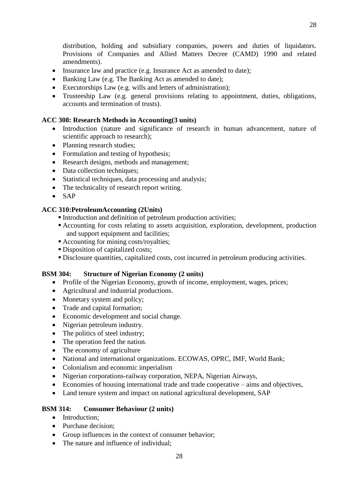distribution, holding and subsidiary companies, powers and duties of liquidators. Provisions of Companies and Allied Matters Decree (CAMD) 1990 and related amendments).

- Insurance law and practice (e.g. Insurance Act as amended to date);
- Banking Law (e.g. The Banking Act as amended to date);
- Executorships Law (e.g. wills and letters of administration);
- Trusteeship Law (e.g. general provisions relating to appointment, duties, obligations, accounts and termination of trusts).

### **ACC 308: Research Methods in Accounting(3 units)**

- Introduction (nature and significance of research in human advancement, nature of scientific approach to research);
- Planning research studies;
- Formulation and testing of hypothesis;
- Research designs, methods and management;
- Data collection techniques;
- Statistical techniques, data processing and analysis;
- The technicality of research report writing.
- $\bullet$  SAP

# **ACC 310:PetroleumAccounting (2Units)**

- Introduction and definition of petroleum production activities;
- Accounting for costs relating to assets acquisition, exploration, development, production and support equipment and facilities;
- Accounting for mining costs/royalties;
- Disposition of capitalized costs;
- Disclosure quantities, capitalized costs, cost incurred in petroleum producing activities.

# **BSM 304: Structure of Nigerian Economy (2 units)**

- Profile of the Nigerian Economy, growth of income, employment, wages, prices;
- Agricultural and industrial productions.
- Monetary system and policy;
- Trade and capital formation;
- Economic development and social change.
- Nigerian petroleum industry.
- The politics of steel industry;
- The operation feed the nation.
- The economy of agriculture
- National and international organizations. ECOWAS, OPRC, IMF, World Bank;
- Colonialism and economic imperialism
- Nigerian corporations-railway corporation, NEPA, Nigerian Airways,
- Economies of housing international trade and trade cooperative aims and objectives,
- Land tenure system and impact on national agricultural development, SAP

### **BSM 314: Consumer Behaviour (2 units)**

- Introduction:
- Purchase decision;
- Group influences in the context of consumer behavior;
- The nature and influence of individual: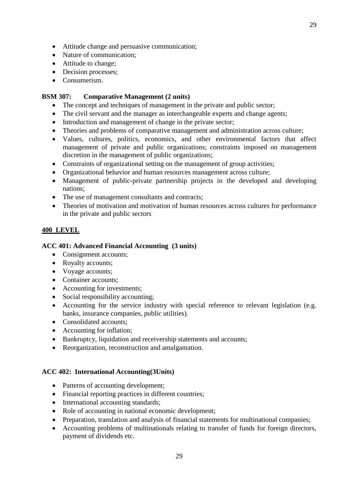- Attitude change and persuasive communication;
- Nature of communication:
- Attitude to change;
- Decision processes;
- Consumerism.

### **BSM 307: Comparative Management (2 units)**

- The concept and techniques of management in the private and public sector;
- The civil servant and the manager as interchangeable experts and change agents;
- Introduction and management of change in the private sector;
- Theories and problems of comparative management and administration across culture;
- Values, cultures, politics, economics, and other environmental factors that affect management of private and public organizations; constraints imposed on management discretion in the management of public organizations;
- Constraints of organizational setting on the management of group activities;
- Organizational behavior and human resources management across culture;
- Management of public-private partnership projects in the developed and developing nations;
- The use of management consultants and contracts;
- Theories of motivation and motivation of human resources across cultures for performance in the private and public sectors

# **400 LEVEL**

### **ACC 401: Advanced Financial Accounting (3 units)**

- Consignment accounts;
- Royalty accounts;
- Voyage accounts;
- Container accounts;
- Accounting for investments;
- Social responsibility accounting;
- Accounting for the service industry with special reference to relevant legislation (e.g. banks, insurance companies, public utilities).
- Consolidated accounts:
- Accounting for inflation;
- Bankruptcy, liquidation and receivership statements and accounts;
- Reorganization, reconstruction and amalgamation.

### **ACC 402: International Accounting(3Units)**

- Patterns of accounting development;
- Financial reporting practices in different countries;
- International accounting standards;
- Role of accounting in national economic development;
- Preparation, translation and analysis of financial statements for multinational companies;
- Accounting problems of multinationals relating to transfer of funds for foreign directors, payment of dividends etc.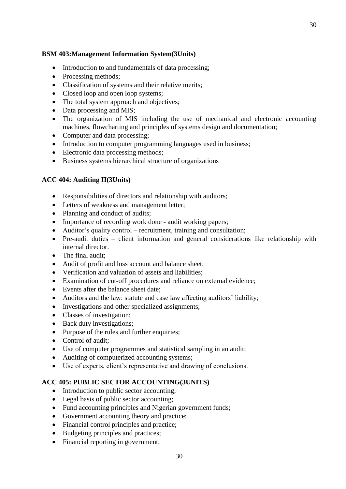# **BSM 403:Management Information System(3Units)**

- Introduction to and fundamentals of data processing;
- Processing methods:
- Classification of systems and their relative merits;
- Closed loop and open loop systems;
- The total system approach and objectives;
- Data processing and MIS;
- The organization of MIS including the use of mechanical and electronic accounting machines, flowcharting and principles of systems design and documentation;
- Computer and data processing;
- Introduction to computer programming languages used in business;
- Electronic data processing methods;
- Business systems hierarchical structure of organizations

# **ACC 404: Auditing II(3Units)**

- Responsibilities of directors and relationship with auditors;
- Letters of weakness and management letter;
- Planning and conduct of audits:
- Importance of recording work done audit working papers;
- Auditor's quality control recruitment, training and consultation;
- Pre-audit duties client information and general considerations like relationship with internal director.
- The final audit:
- Audit of profit and loss account and balance sheet;
- Verification and valuation of assets and liabilities;
- Examination of cut-off procedures and reliance on external evidence;
- Events after the balance sheet date:
- Auditors and the law: statute and case law affecting auditors' liability;
- Investigations and other specialized assignments;
- Classes of investigation;
- Back duty investigations;
- Purpose of the rules and further enquiries;
- Control of audit:
- Use of computer programmes and statistical sampling in an audit;
- Auditing of computerized accounting systems;
- Use of experts, client's representative and drawing of conclusions.

# **ACC 405: PUBLIC SECTOR ACCOUNTING(3UNITS)**

- Introduction to public sector accounting;
- Legal basis of public sector accounting;
- Fund accounting principles and Nigerian government funds;
- Government accounting theory and practice;
- Financial control principles and practice;
- Budgeting principles and practices;
- Financial reporting in government;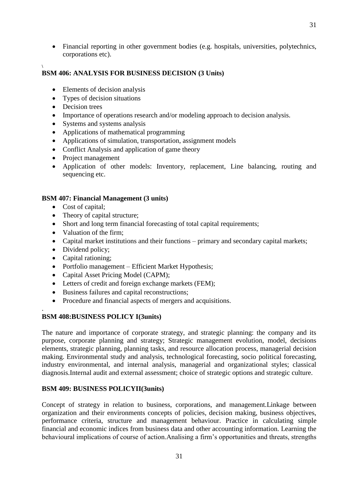Financial reporting in other government bodies (e.g. hospitals, universities, polytechnics, corporations etc).

#### **\ BSM 406: ANALYSIS FOR BUSINESS DECISION (3 Units)**

- Elements of decision analysis
- Types of decision situations
- Decision trees
- Importance of operations research and/or modeling approach to decision analysis.
- Systems and systems analysis
- Applications of mathematical programming
- Applications of simulation, transportation, assignment models
- Conflict Analysis and application of game theory
- Project management
- Application of other models: Inventory, replacement, Line balancing, routing and sequencing etc.

### **BSM 407: Financial Management (3 units)**

- Cost of capital;
- Theory of capital structure;
- Short and long term financial forecasting of total capital requirements;
- Valuation of the firm:
- Capital market institutions and their functions primary and secondary capital markets;
- Dividend policy;
- Capital rationing;

.

- Portfolio management Efficient Market Hypothesis;
- Capital Asset Pricing Model (CAPM);
- Letters of credit and foreign exchange markets (FEM);
- Business failures and capital reconstructions;
- Procedure and financial aspects of mergers and acquisitions.

### **BSM 408:BUSINESS POLICY I(3units)**

The nature and importance of corporate strategy, and strategic planning: the company and its purpose, corporate planning and strategy; Strategic management evolution, model, decisions elements, strategic planning, planning tasks, and resource allocation process, managerial decision making. Environmental study and analysis, technological forecasting, socio political forecasting, industry environmental, and internal analysis, managerial and organizational styles; classical diagnosis.Internal audit and external assessment; choice of strategic options and strategic culture.

### **BSM 409: BUSINESS POLICYII(3units)**

Concept of strategy in relation to business, corporations, and management.Linkage between organization and their environments concepts of policies, decision making, business objectives, performance criteria, structure and management behaviour. Practice in calculating simple financial and economic indices from business data and other accounting information. Learning the behavioural implications of course of action.Analising a firm's opportunities and threats, strengths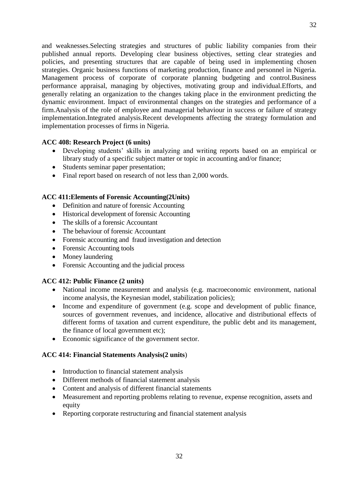and weaknesses.Selecting strategies and structures of public liability companies from their published annual reports. Developing clear business objectives, setting clear strategies and policies, and presenting structures that are capable of being used in implementing chosen strategies. Organic business functions of marketing production, finance and personnel in Nigeria. Management process of corporate of corporate planning budgeting and control.Business performance appraisal, managing by objectives, motivating group and individual.Efforts, and generally relating an organization to the changes taking place in the environment predicting the dynamic environment. Impact of environmental changes on the strategies and performance of a firm.Analysis of the role of employee and managerial behaviour in success or failure of strategy implementation.Integrated analysis.Recent developments affecting the strategy formulation and implementation processes of firms in Nigeria.

### **ACC 408: Research Project (6 units)**

- Developing students' skills in analyzing and writing reports based on an empirical or library study of a specific subject matter or topic in accounting and/or finance;
- Students seminar paper presentation;
- Final report based on research of not less than 2,000 words.

### **ACC 411:Elements of Forensic Accounting(2Units)**

- Definition and nature of forensic Accounting
- Historical development of forensic Accounting
- The skills of a forensic Accountant
- The behaviour of forensic Accountant
- Forensic accounting and fraud investigation and detection
- Forensic Accounting tools
- Money laundering
- Forensic Accounting and the judicial process

### **ACC 412: Public Finance (2 units)**

- National income measurement and analysis (e.g. macroeconomic environment, national income analysis, the Keynesian model, stabilization policies);
- Income and expenditure of government (e.g. scope and development of public finance, sources of government revenues, and incidence, allocative and distributional effects of different forms of taxation and current expenditure, the public debt and its management, the finance of local government etc);
- Economic significance of the government sector.

# **ACC 414: Financial Statements Analysis(2 units**)

- Introduction to financial statement analysis
- Different methods of financial statement analysis
- Content and analysis of different financial statements
- Measurement and reporting problems relating to revenue, expense recognition, assets and equity
- Reporting corporate restructuring and financial statement analysis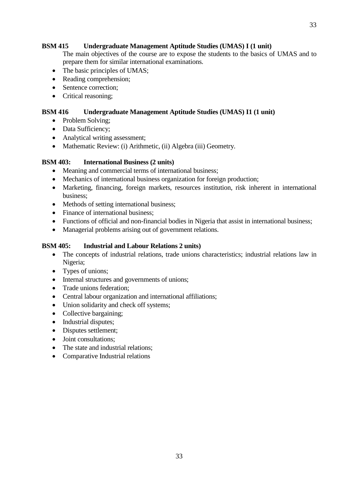# **BSM 415 Undergraduate Management Aptitude Studies (UMAS) I (1 unit)**

The main objectives of the course are to expose the students to the basics of UMAS and to prepare them for similar international examinations.

- The basic principles of UMAS;
- Reading comprehension;
- Sentence correction;
- Critical reasoning;

## **BSM 416 Undergraduate Management Aptitude Studies (UMAS) I1 (1 unit)**

- Problem Solving;
- Data Sufficiency;
- Analytical writing assessment;
- Mathematic Review: (i) Arithmetic, (ii) Algebra (iii) Geometry.

### **BSM 403: International Business (2 units)**

- Meaning and commercial terms of international business;
- Mechanics of international business organization for foreign production;
- Marketing, financing, foreign markets, resources institution, risk inherent in international business;
- Methods of setting international business;
- Finance of international business;
- Functions of official and non-financial bodies in Nigeria that assist in international business;
- Managerial problems arising out of government relations.

### **BSM 405: Industrial and Labour Relations 2 units)**

- The concepts of industrial relations, trade unions characteristics; industrial relations law in Nigeria;
- Types of unions;
- Internal structures and governments of unions;
- Trade unions federation;
- Central labour organization and international affiliations;
- Union solidarity and check off systems;
- Collective bargaining;
- Industrial disputes;
- Disputes settlement;
- Joint consultations:
- The state and industrial relations:
- Comparative Industrial relations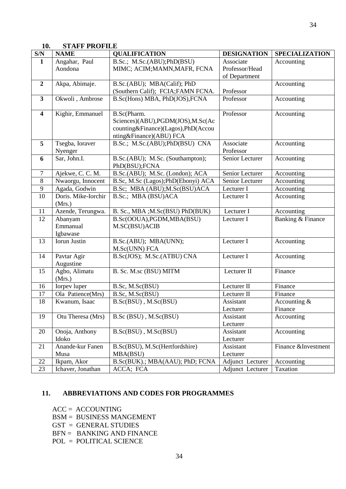| 10.                     | <b>STAFF PROFILE</b>   |                                     |                    |                       |
|-------------------------|------------------------|-------------------------------------|--------------------|-----------------------|
| S/N                     | <b>NAME</b>            | <b>QUALIFICATION</b>                | <b>DESIGNATION</b> | <b>SPECIALIZATION</b> |
| $\mathbf{1}$            | Angahar, Paul          | B.Sc.; M.Sc.(ABU);PhD(BSU)          | Associate          | Accounting            |
|                         | Aondona                | MIMC; ACIM; MAMN, MAFR, FCNA        | Professor/Head     |                       |
|                         |                        |                                     | of Department      |                       |
| $\overline{2}$          | Akpa, Abimaje.         | B.Sc.(ABU); MBA(Calif); PhD         |                    | Accounting            |
|                         |                        | (Southern Calif); FCIA; FAMN FCNA.  | Professor          |                       |
| $\mathbf{3}$            | Okwoli, Ambrose        | B.Sc(Hons) MBA, PhD(JOS), FCNA      | Professor          | Accounting            |
| $\overline{\mathbf{4}}$ | Kighir, Emmanuel       | B.Sc(Pharm.                         | Professor          | Accounting            |
|                         |                        | Sciences)(ABU),PGDM(JOS),M.Sc(Ac    |                    |                       |
|                         |                        | counting&Finance)(Lagos),PhD(Accou  |                    |                       |
|                         |                        | nting&Finance)(ABU) FCA             |                    |                       |
| 5                       | Tsegba, Ioraver        | B.Sc.; M.Sc.(ABU);PhD(BSU) CNA      | Associate          | Accounting            |
|                         | Nyenger                |                                     | Professor          |                       |
| 6                       | Sar, John.I.           | B.Sc.(ABU); M.Sc. (Southampton);    | Senior Lecturer    | Accounting            |
|                         |                        | PhD(BSU);FCNA                       |                    |                       |
| $\tau$                  | Ajekwe, C. C. M.       | B.Sc.(ABU); M.Sc. (London); ACA     | Senior Lecturer    | Accounting            |
| 8                       | Nwaorgu, Innocent      | B.Sc, M.Sc (Lagos); PhD(Ebonyi) ACA | Senior Lecturer    | Accounting            |
| 9                       | Agada, Godwin          | B.Sc; MBA (ABU); M.Sc(BSU) ACA      | Lecturer I         | Accounting            |
| 10                      | Doris. Mike-Iorchir    | B.Sc.; MBA (BSU)ACA                 | Lecturer I         | Accounting            |
|                         | (Mrs.)                 |                                     |                    |                       |
| 11                      | Azende, Terungwa.      | B. Sc., MBA ; M.Sc(BSU) PhD(BUK)    | Lecturer I         | Accounting            |
| 12                      | Abanyam                | B.Sc(OOUA), PGDM, MBA(BSU)          | Lecturer I         | Banking & Finance     |
|                         | Emmanual               | M.SC(BSU)ACIB                       |                    |                       |
|                         | Igbawase               |                                     |                    |                       |
| 13                      | Iorun Justin           | B.Sc.(ABU); MBA(UNN);               | Lecturer I         | Accounting            |
|                         |                        | M.Sc(UNN) FCA                       |                    |                       |
| 14                      | Pavtar Agir            | B.Sc(JOS); M.Sc.(ATBU) CNA          | Lecturer I         | Accounting            |
|                         | Augustine              |                                     |                    |                       |
| 15                      | Agbo, Alimatu          | B. Sc. M.sc (BSU) MITM              | Lecturer II        | Finance               |
| 16                      | (Mrs.)<br>Iorpev luper |                                     | Lecturer II        | Finance               |
| 17                      | Ola Patience(Mrs)      | B.Sc, M.Sc(BSU)<br>B.Sc, M.Sc(BSU)  | Lecturer II        | Finance               |
| 18                      | Kwanum, Isaac          | B.Sc(BSU), M.Sc(BSU)                | Assistant          | Accounting $\&$       |
|                         |                        |                                     | Lecturer           | Finance               |
| 19                      | Otu Theresa (Mrs)      | B.Sc (BSU), M.Sc(BSU)               | Assistant          | Accounting            |
|                         |                        |                                     | Lecturer           |                       |
| 20                      | Onoja, Anthony         | B.Sc(BSU), M.Sc(BSU)                | Assistant          | Accounting            |
|                         | Idoko                  |                                     | Lecturer           |                       |
| 21                      | Anande-kur Fanen       | B.Sc(BSU), M.Sc(Hertfordshire)      | Assistant          | Finance &Investment   |
|                         | Musa                   | MBA(BSU)                            | Lecturer           |                       |
| 22                      | Ikpam, Akor            | B.Sc(BUK).; MBA(AAU); PhD; FCNA     | Adjunct Lecturer   | Accounting            |
| 23                      | Ichaver, Jonathan      | ACCA; FCA                           | Adjunct Lecturer   | Taxation              |
|                         |                        |                                     |                    |                       |

## **11. ABBREVIATIONS AND CODES FOR PROGRAMMES**

- ACC = ACCOUNTING
- BSM = BUSINESS MANGEMENT
- GST = GENERAL STUDIES
- BFN = BANKING AND FINANCE
- POL = POLITICAL SCIENCE